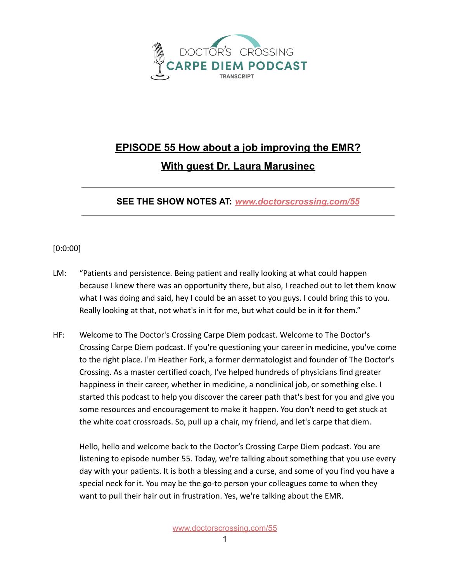

## **EPISODE 55 How about a job improving the EMR? With guest Dr. Laura Marusinec**

**SEE THE SHOW NOTES AT:** *[www.doctorscrossing.com/55](http://www.doctorscrossing.com/55)*

## [0:0:00]

- LM: "Patients and persistence. Being patient and really looking at what could happen because I knew there was an opportunity there, but also, I reached out to let them know what I was doing and said, hey I could be an asset to you guys. I could bring this to you. Really looking at that, not what's in it for me, but what could be in it for them."
- HF: Welcome to The Doctor's Crossing Carpe Diem podcast. Welcome to The Doctor's Crossing Carpe Diem podcast. If you're questioning your career in medicine, you've come to the right place. I'm Heather Fork, a former dermatologist and founder of The Doctor's Crossing. As a master certified coach, I've helped hundreds of physicians find greater happiness in their career, whether in medicine, a nonclinical job, or something else. I started this podcast to help you discover the career path that's best for you and give you some resources and encouragement to make it happen. You don't need to get stuck at the white coat crossroads. So, pull up a chair, my friend, and let's carpe that diem.

Hello, hello and welcome back to the Doctor's Crossing Carpe Diem podcast. You are listening to episode number 55. Today, we're talking about something that you use every day with your patients. It is both a blessing and a curse, and some of you find you have a special neck for it. You may be the go-to person your colleagues come to when they want to pull their hair out in frustration. Yes, we're talking about the EMR.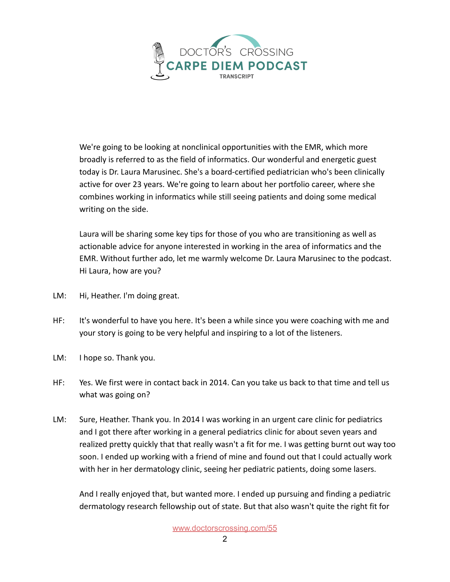

We're going to be looking at nonclinical opportunities with the EMR, which more broadly is referred to as the field of informatics. Our wonderful and energetic guest today is Dr. Laura Marusinec. She's a board-certified pediatrician who's been clinically active for over 23 years. We're going to learn about her portfolio career, where she combines working in informatics while still seeing patients and doing some medical writing on the side.

Laura will be sharing some key tips for those of you who are transitioning as well as actionable advice for anyone interested in working in the area of informatics and the EMR. Without further ado, let me warmly welcome Dr. Laura Marusinec to the podcast. Hi Laura, how are you?

- LM: Hi, Heather. I'm doing great.
- HF: It's wonderful to have you here. It's been a while since you were coaching with me and your story is going to be very helpful and inspiring to a lot of the listeners.
- LM: I hope so. Thank you.
- HF: Yes. We first were in contact back in 2014. Can you take us back to that time and tell us what was going on?
- LM: Sure, Heather. Thank you. In 2014 I was working in an urgent care clinic for pediatrics and I got there after working in a general pediatrics clinic for about seven years and realized pretty quickly that that really wasn't a fit for me. I was getting burnt out way too soon. I ended up working with a friend of mine and found out that I could actually work with her in her dermatology clinic, seeing her pediatric patients, doing some lasers.

And I really enjoyed that, but wanted more. I ended up pursuing and finding a pediatric dermatology research fellowship out of state. But that also wasn't quite the right fit for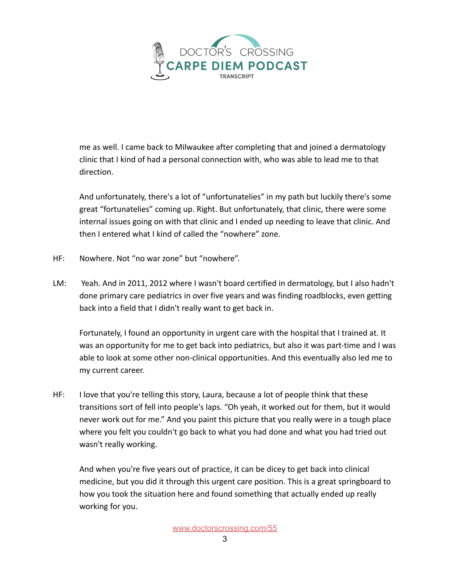

me as well. I came back to Milwaukee after completing that and joined a dermatology clinic that I kind of had a personal connection with, who was able to lead me to that direction.

And unfortunately, there's a lot of "unfortunatelies" in my path but luckily there's some great "fortunatelies" coming up. Right. But unfortunately, that clinic, there were some internal issues going on with that clinic and I ended up needing to leave that clinic. And then I entered what I kind of called the "nowhere" zone.

- HF: Nowhere. Not "no war zone" but "nowhere".
- LM: Yeah. And in 2011, 2012 where I wasn't board certified in dermatology, but I also hadn't done primary care pediatrics in over five years and was finding roadblocks, even getting back into a field that I didn't really want to get back in.

Fortunately, I found an opportunity in urgent care with the hospital that I trained at. It was an opportunity for me to get back into pediatrics, but also it was part-time and I was able to look at some other non-clinical opportunities. And this eventually also led me to my current career.

HF: I love that you're telling this story, Laura, because a lot of people think that these transitions sort of fell into people's laps. "Oh yeah, it worked out for them, but it would never work out for me." And you paint this picture that you really were in a tough place where you felt you couldn't go back to what you had done and what you had tried out wasn't really working.

And when you're five years out of practice, it can be dicey to get back into clinical medicine, but you did it through this urgent care position. This is a great springboard to how you took the situation here and found something that actually ended up really working for you.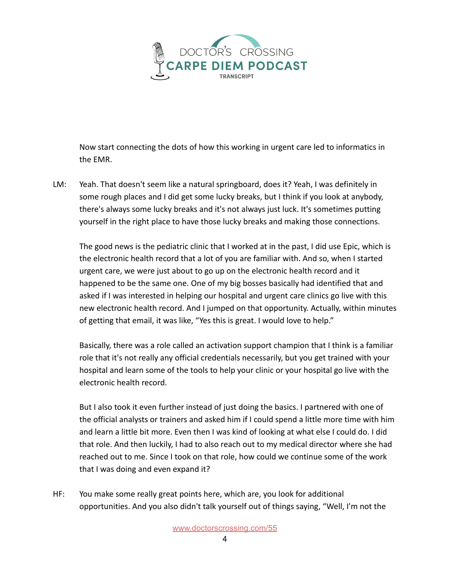

Now start connecting the dots of how this working in urgent care led to informatics in the EMR.

LM: Yeah. That doesn't seem like a natural springboard, does it? Yeah, I was definitely in some rough places and I did get some lucky breaks, but I think if you look at anybody, there's always some lucky breaks and it's not always just luck. It's sometimes putting yourself in the right place to have those lucky breaks and making those connections.

The good news is the pediatric clinic that I worked at in the past, I did use Epic, which is the electronic health record that a lot of you are familiar with. And so, when I started urgent care, we were just about to go up on the electronic health record and it happened to be the same one. One of my big bosses basically had identified that and asked if I was interested in helping our hospital and urgent care clinics go live with this new electronic health record. And I jumped on that opportunity. Actually, within minutes of getting that email, it was like, "Yes this is great. I would love to help."

Basically, there was a role called an activation support champion that I think is a familiar role that it's not really any official credentials necessarily, but you get trained with your hospital and learn some of the tools to help your clinic or your hospital go live with the electronic health record.

But I also took it even further instead of just doing the basics. I partnered with one of the official analysts or trainers and asked him if I could spend a little more time with him and learn a little bit more. Even then I was kind of looking at what else I could do. I did that role. And then luckily, I had to also reach out to my medical director where she had reached out to me. Since I took on that role, how could we continue some of the work that I was doing and even expand it?

HF: You make some really great points here, which are, you look for additional opportunities. And you also didn't talk yourself out of things saying, "Well, I'm not the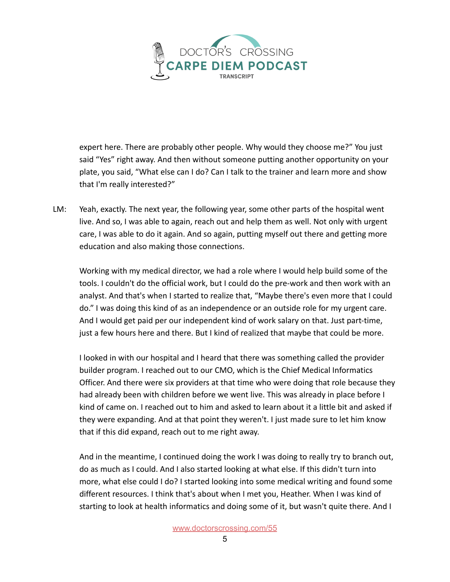

expert here. There are probably other people. Why would they choose me?" You just said "Yes" right away. And then without someone putting another opportunity on your plate, you said, "What else can I do? Can I talk to the trainer and learn more and show that I'm really interested?"

LM: Yeah, exactly. The next year, the following year, some other parts of the hospital went live. And so, I was able to again, reach out and help them as well. Not only with urgent care, I was able to do it again. And so again, putting myself out there and getting more education and also making those connections.

Working with my medical director, we had a role where I would help build some of the tools. I couldn't do the official work, but I could do the pre-work and then work with an analyst. And that's when I started to realize that, "Maybe there's even more that I could do." I was doing this kind of as an independence or an outside role for my urgent care. And I would get paid per our independent kind of work salary on that. Just part-time, just a few hours here and there. But I kind of realized that maybe that could be more.

I looked in with our hospital and I heard that there was something called the provider builder program. I reached out to our CMO, which is the Chief Medical Informatics Officer. And there were six providers at that time who were doing that role because they had already been with children before we went live. This was already in place before I kind of came on. I reached out to him and asked to learn about it a little bit and asked if they were expanding. And at that point they weren't. I just made sure to let him know that if this did expand, reach out to me right away.

And in the meantime, I continued doing the work I was doing to really try to branch out, do as much as I could. And I also started looking at what else. If this didn't turn into more, what else could I do? I started looking into some medical writing and found some different resources. I think that's about when I met you, Heather. When I was kind of starting to look at health informatics and doing some of it, but wasn't quite there. And I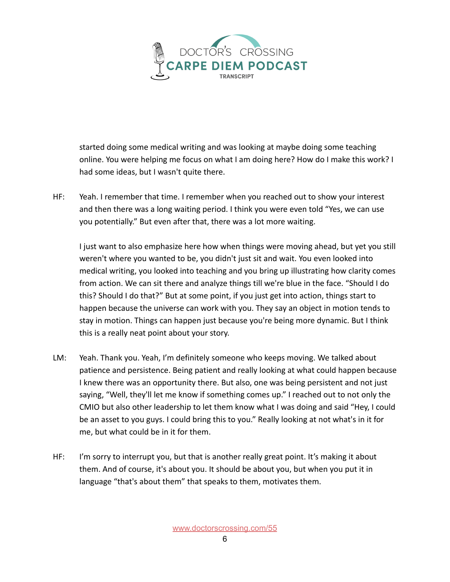

started doing some medical writing and was looking at maybe doing some teaching online. You were helping me focus on what I am doing here? How do I make this work? I had some ideas, but I wasn't quite there.

HF: Yeah. I remember that time. I remember when you reached out to show your interest and then there was a long waiting period. I think you were even told "Yes, we can use you potentially." But even after that, there was a lot more waiting.

I just want to also emphasize here how when things were moving ahead, but yet you still weren't where you wanted to be, you didn't just sit and wait. You even looked into medical writing, you looked into teaching and you bring up illustrating how clarity comes from action. We can sit there and analyze things till we're blue in the face. "Should I do this? Should I do that?" But at some point, if you just get into action, things start to happen because the universe can work with you. They say an object in motion tends to stay in motion. Things can happen just because you're being more dynamic. But I think this is a really neat point about your story.

- LM: Yeah. Thank you. Yeah, I'm definitely someone who keeps moving. We talked about patience and persistence. Being patient and really looking at what could happen because I knew there was an opportunity there. But also, one was being persistent and not just saying, "Well, they'll let me know if something comes up." I reached out to not only the CMIO but also other leadership to let them know what I was doing and said "Hey, I could be an asset to you guys. I could bring this to you." Really looking at not what's in it for me, but what could be in it for them.
- HF: I'm sorry to interrupt you, but that is another really great point. It's making it about them. And of course, it's about you. It should be about you, but when you put it in language "that's about them" that speaks to them, motivates them.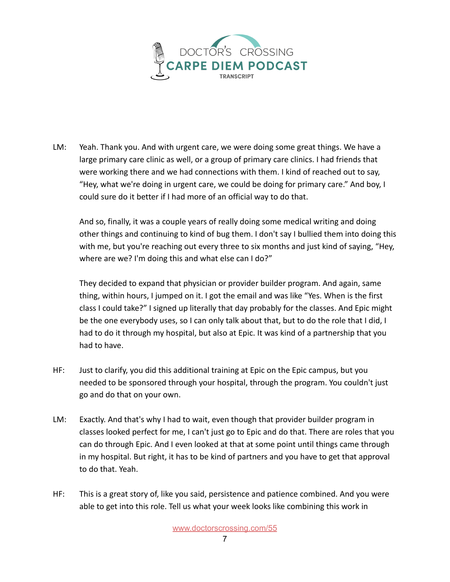

LM: Yeah. Thank you. And with urgent care, we were doing some great things. We have a large primary care clinic as well, or a group of primary care clinics. I had friends that were working there and we had connections with them. I kind of reached out to say, "Hey, what we're doing in urgent care, we could be doing for primary care." And boy, I could sure do it better if I had more of an official way to do that.

And so, finally, it was a couple years of really doing some medical writing and doing other things and continuing to kind of bug them. I don't say I bullied them into doing this with me, but you're reaching out every three to six months and just kind of saying, "Hey, where are we? I'm doing this and what else can I do?"

They decided to expand that physician or provider builder program. And again, same thing, within hours, I jumped on it. I got the email and was like "Yes. When is the first class I could take?" I signed up literally that day probably for the classes. And Epic might be the one everybody uses, so I can only talk about that, but to do the role that I did, I had to do it through my hospital, but also at Epic. It was kind of a partnership that you had to have.

- HF: Just to clarify, you did this additional training at Epic on the Epic campus, but you needed to be sponsored through your hospital, through the program. You couldn't just go and do that on your own.
- LM: Exactly. And that's why I had to wait, even though that provider builder program in classes looked perfect for me, I can't just go to Epic and do that. There are roles that you can do through Epic. And I even looked at that at some point until things came through in my hospital. But right, it has to be kind of partners and you have to get that approval to do that. Yeah.
- HF: This is a great story of, like you said, persistence and patience combined. And you were able to get into this role. Tell us what your week looks like combining this work in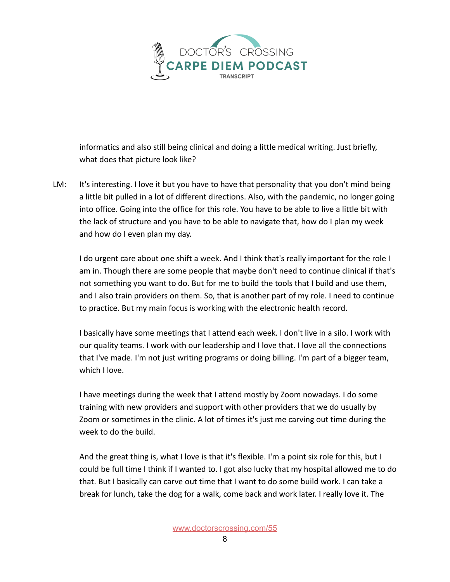

informatics and also still being clinical and doing a little medical writing. Just briefly, what does that picture look like?

LM: It's interesting. I love it but you have to have that personality that you don't mind being a little bit pulled in a lot of different directions. Also, with the pandemic, no longer going into office. Going into the office for this role. You have to be able to live a little bit with the lack of structure and you have to be able to navigate that, how do I plan my week and how do I even plan my day.

I do urgent care about one shift a week. And I think that's really important for the role I am in. Though there are some people that maybe don't need to continue clinical if that's not something you want to do. But for me to build the tools that I build and use them, and I also train providers on them. So, that is another part of my role. I need to continue to practice. But my main focus is working with the electronic health record.

I basically have some meetings that I attend each week. I don't live in a silo. I work with our quality teams. I work with our leadership and I love that. I love all the connections that I've made. I'm not just writing programs or doing billing. I'm part of a bigger team, which I love.

I have meetings during the week that I attend mostly by Zoom nowadays. I do some training with new providers and support with other providers that we do usually by Zoom or sometimes in the clinic. A lot of times it's just me carving out time during the week to do the build.

And the great thing is, what I love is that it's flexible. I'm a point six role for this, but I could be full time I think if I wanted to. I got also lucky that my hospital allowed me to do that. But I basically can carve out time that I want to do some build work. I can take a break for lunch, take the dog for a walk, come back and work later. I really love it. The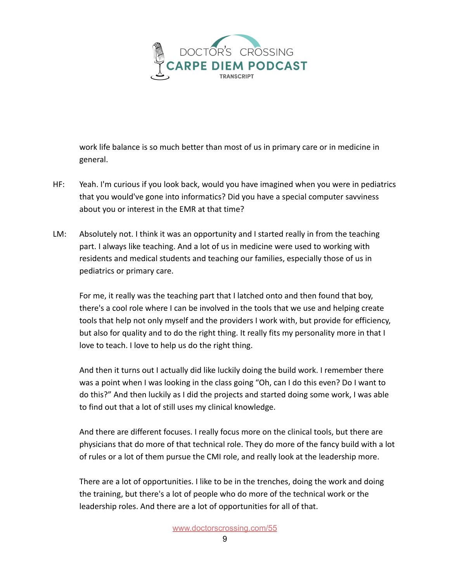

work life balance is so much better than most of us in primary care or in medicine in general.

- HF: Yeah. I'm curious if you look back, would you have imagined when you were in pediatrics that you would've gone into informatics? Did you have a special computer savviness about you or interest in the EMR at that time?
- LM: Absolutely not. I think it was an opportunity and I started really in from the teaching part. I always like teaching. And a lot of us in medicine were used to working with residents and medical students and teaching our families, especially those of us in pediatrics or primary care.

For me, it really was the teaching part that I latched onto and then found that boy, there's a cool role where I can be involved in the tools that we use and helping create tools that help not only myself and the providers I work with, but provide for efficiency, but also for quality and to do the right thing. It really fits my personality more in that I love to teach. I love to help us do the right thing.

And then it turns out I actually did like luckily doing the build work. I remember there was a point when I was looking in the class going "Oh, can I do this even? Do I want to do this?" And then luckily as I did the projects and started doing some work, I was able to find out that a lot of still uses my clinical knowledge.

And there are different focuses. I really focus more on the clinical tools, but there are physicians that do more of that technical role. They do more of the fancy build with a lot of rules or a lot of them pursue the CMI role, and really look at the leadership more.

There are a lot of opportunities. I like to be in the trenches, doing the work and doing the training, but there's a lot of people who do more of the technical work or the leadership roles. And there are a lot of opportunities for all of that.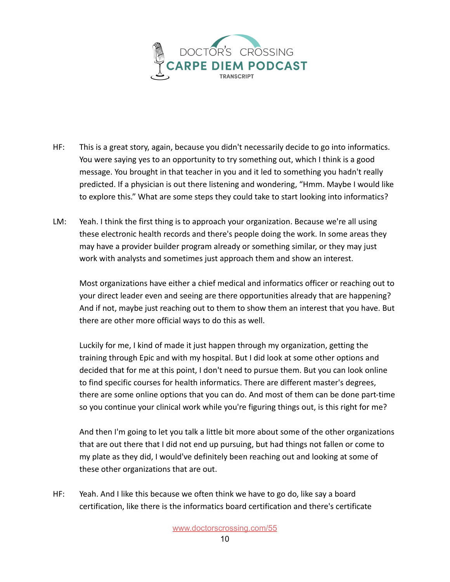

- HF: This is a great story, again, because you didn't necessarily decide to go into informatics. You were saying yes to an opportunity to try something out, which I think is a good message. You brought in that teacher in you and it led to something you hadn't really predicted. If a physician is out there listening and wondering, "Hmm. Maybe I would like to explore this." What are some steps they could take to start looking into informatics?
- LM: Yeah. I think the first thing is to approach your organization. Because we're all using these electronic health records and there's people doing the work. In some areas they may have a provider builder program already or something similar, or they may just work with analysts and sometimes just approach them and show an interest.

Most organizations have either a chief medical and informatics officer or reaching out to your direct leader even and seeing are there opportunities already that are happening? And if not, maybe just reaching out to them to show them an interest that you have. But there are other more official ways to do this as well.

Luckily for me, I kind of made it just happen through my organization, getting the training through Epic and with my hospital. But I did look at some other options and decided that for me at this point, I don't need to pursue them. But you can look online to find specific courses for health informatics. There are different master's degrees, there are some online options that you can do. And most of them can be done part-time so you continue your clinical work while you're figuring things out, is this right for me?

And then I'm going to let you talk a little bit more about some of the other organizations that are out there that I did not end up pursuing, but had things not fallen or come to my plate as they did, I would've definitely been reaching out and looking at some of these other organizations that are out.

HF: Yeah. And I like this because we often think we have to go do, like say a board certification, like there is the informatics board certification and there's certificate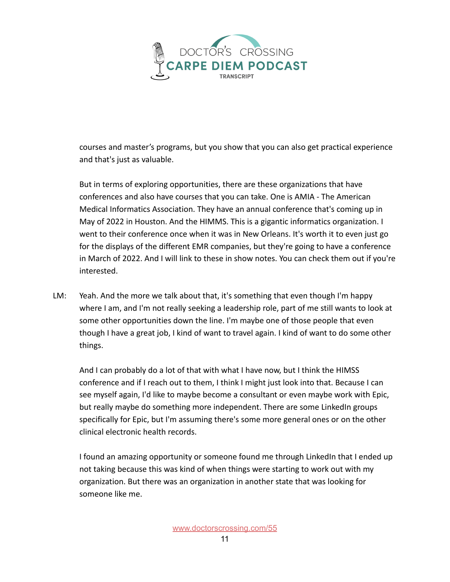

courses and master's programs, but you show that you can also get practical experience and that's just as valuable.

But in terms of exploring opportunities, there are these organizations that have conferences and also have courses that you can take. One is AMIA - The American Medical Informatics Association. They have an annual conference that's coming up in May of 2022 in Houston. And the HIMMS. This is a gigantic informatics organization. I went to their conference once when it was in New Orleans. It's worth it to even just go for the displays of the different EMR companies, but they're going to have a conference in March of 2022. And I will link to these in show notes. You can check them out if you're interested.

LM: Yeah. And the more we talk about that, it's something that even though I'm happy where I am, and I'm not really seeking a leadership role, part of me still wants to look at some other opportunities down the line. I'm maybe one of those people that even though I have a great job, I kind of want to travel again. I kind of want to do some other things.

And I can probably do a lot of that with what I have now, but I think the HIMSS conference and if I reach out to them, I think I might just look into that. Because I can see myself again, I'd like to maybe become a consultant or even maybe work with Epic, but really maybe do something more independent. There are some LinkedIn groups specifically for Epic, but I'm assuming there's some more general ones or on the other clinical electronic health records.

I found an amazing opportunity or someone found me through LinkedIn that I ended up not taking because this was kind of when things were starting to work out with my organization. But there was an organization in another state that was looking for someone like me.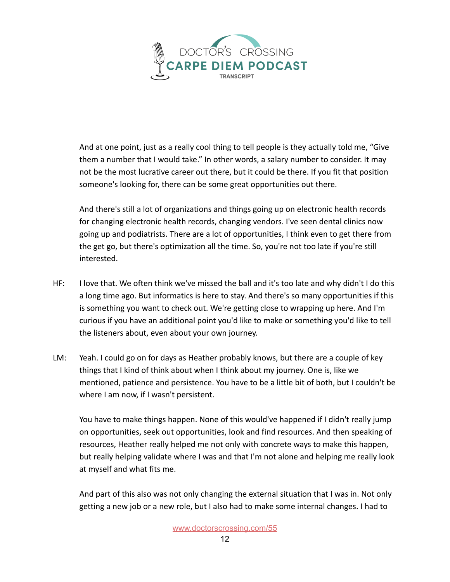

And at one point, just as a really cool thing to tell people is they actually told me, "Give them a number that I would take." In other words, a salary number to consider. It may not be the most lucrative career out there, but it could be there. If you fit that position someone's looking for, there can be some great opportunities out there.

And there's still a lot of organizations and things going up on electronic health records for changing electronic health records, changing vendors. I've seen dental clinics now going up and podiatrists. There are a lot of opportunities, I think even to get there from the get go, but there's optimization all the time. So, you're not too late if you're still interested.

- HF: I love that. We often think we've missed the ball and it's too late and why didn't I do this a long time ago. But informatics is here to stay. And there's so many opportunities if this is something you want to check out. We're getting close to wrapping up here. And I'm curious if you have an additional point you'd like to make or something you'd like to tell the listeners about, even about your own journey.
- LM: Yeah. I could go on for days as Heather probably knows, but there are a couple of key things that I kind of think about when I think about my journey. One is, like we mentioned, patience and persistence. You have to be a little bit of both, but I couldn't be where I am now, if I wasn't persistent.

You have to make things happen. None of this would've happened if I didn't really jump on opportunities, seek out opportunities, look and find resources. And then speaking of resources, Heather really helped me not only with concrete ways to make this happen, but really helping validate where I was and that I'm not alone and helping me really look at myself and what fits me.

And part of this also was not only changing the external situation that I was in. Not only getting a new job or a new role, but I also had to make some internal changes. I had to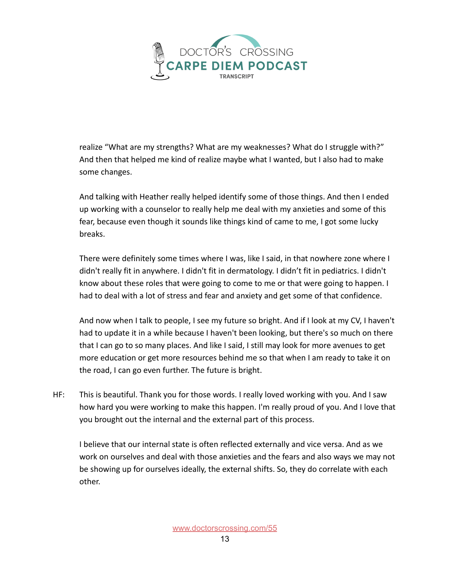

realize "What are my strengths? What are my weaknesses? What do I struggle with?" And then that helped me kind of realize maybe what I wanted, but I also had to make some changes.

And talking with Heather really helped identify some of those things. And then I ended up working with a counselor to really help me deal with my anxieties and some of this fear, because even though it sounds like things kind of came to me, I got some lucky breaks.

There were definitely some times where I was, like I said, in that nowhere zone where I didn't really fit in anywhere. I didn't fit in dermatology. I didn't fit in pediatrics. I didn't know about these roles that were going to come to me or that were going to happen. I had to deal with a lot of stress and fear and anxiety and get some of that confidence.

And now when I talk to people, I see my future so bright. And if I look at my CV, I haven't had to update it in a while because I haven't been looking, but there's so much on there that I can go to so many places. And like I said, I still may look for more avenues to get more education or get more resources behind me so that when I am ready to take it on the road, I can go even further. The future is bright.

HF: This is beautiful. Thank you for those words. I really loved working with you. And I saw how hard you were working to make this happen. I'm really proud of you. And I love that you brought out the internal and the external part of this process.

I believe that our internal state is often reflected externally and vice versa. And as we work on ourselves and deal with those anxieties and the fears and also ways we may not be showing up for ourselves ideally, the external shifts. So, they do correlate with each other.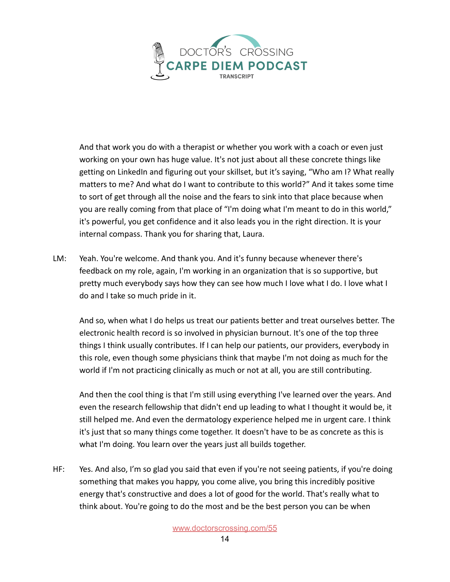

And that work you do with a therapist or whether you work with a coach or even just working on your own has huge value. It's not just about all these concrete things like getting on LinkedIn and figuring out your skillset, but it's saying, "Who am I? What really matters to me? And what do I want to contribute to this world?" And it takes some time to sort of get through all the noise and the fears to sink into that place because when you are really coming from that place of "I'm doing what I'm meant to do in this world," it's powerful, you get confidence and it also leads you in the right direction. It is your internal compass. Thank you for sharing that, Laura.

LM: Yeah. You're welcome. And thank you. And it's funny because whenever there's feedback on my role, again, I'm working in an organization that is so supportive, but pretty much everybody says how they can see how much I love what I do. I love what I do and I take so much pride in it.

And so, when what I do helps us treat our patients better and treat ourselves better. The electronic health record is so involved in physician burnout. It's one of the top three things I think usually contributes. If I can help our patients, our providers, everybody in this role, even though some physicians think that maybe I'm not doing as much for the world if I'm not practicing clinically as much or not at all, you are still contributing.

And then the cool thing is that I'm still using everything I've learned over the years. And even the research fellowship that didn't end up leading to what I thought it would be, it still helped me. And even the dermatology experience helped me in urgent care. I think it's just that so many things come together. It doesn't have to be as concrete as this is what I'm doing. You learn over the years just all builds together.

HF: Yes. And also, I'm so glad you said that even if you're not seeing patients, if you're doing something that makes you happy, you come alive, you bring this incredibly positive energy that's constructive and does a lot of good for the world. That's really what to think about. You're going to do the most and be the best person you can be when